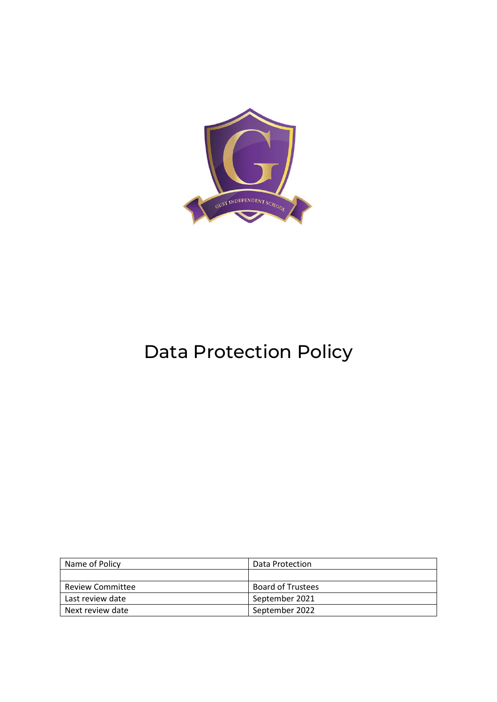

# Data Protection Policy

| Name of Policy          | Data Protection          |
|-------------------------|--------------------------|
|                         |                          |
| <b>Review Committee</b> | <b>Board of Trustees</b> |
| Last review date        | September 2021           |
| Next review date        | September 2022           |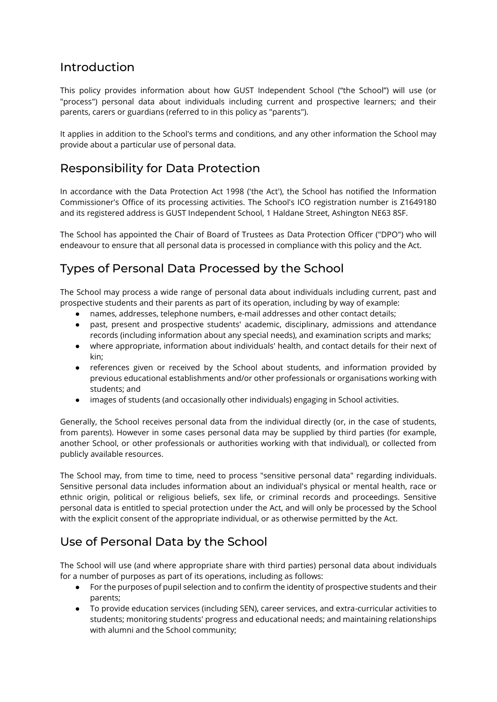### Introduction

This policy provides information about how GUST Independent School ("the School") will use (or "process") personal data about individuals including current and prospective learners; and their parents, carers or guardians (referred to in this policy as "parents").

It applies in addition to the School's terms and conditions, and any other information the School may provide about a particular use of personal data.

#### Responsibility for Data Protection

In accordance with the Data Protection Act 1998 ('the Act'), the School has notified the Information Commissioner's Office of its processing activities. The School's ICO registration number is Z1649180 and its registered address is GUST Independent School, 1 Haldane Street, Ashington NE63 8SF.

The School has appointed the Chair of Board of Trustees as Data Protection Officer ("DPO") who will endeavour to ensure that all personal data is processed in compliance with this policy and the Act.

# Types of Personal Data Processed by the School

The School may process a wide range of personal data about individuals including current, past and prospective students and their parents as part of its operation, including by way of example:

- names, addresses, telephone numbers, e-mail addresses and other contact details;
- past, present and prospective students' academic, disciplinary, admissions and attendance records (including information about any special needs), and examination scripts and marks;
- where appropriate, information about individuals' health, and contact details for their next of kin;
- references given or received by the School about students, and information provided by previous educational establishments and/or other professionals or organisations working with students; and
- images of students (and occasionally other individuals) engaging in School activities.

Generally, the School receives personal data from the individual directly (or, in the case of students, from parents). However in some cases personal data may be supplied by third parties (for example, another School, or other professionals or authorities working with that individual), or collected from publicly available resources.

The School may, from time to time, need to process "sensitive personal data" regarding individuals. Sensitive personal data includes information about an individual's physical or mental health, race or ethnic origin, political or religious beliefs, sex life, or criminal records and proceedings. Sensitive personal data is entitled to special protection under the Act, and will only be processed by the School with the explicit consent of the appropriate individual, or as otherwise permitted by the Act.

#### Use of Personal Data by the School

The School will use (and where appropriate share with third parties) personal data about individuals for a number of purposes as part of its operations, including as follows:

- For the purposes of pupil selection and to confirm the identity of prospective students and their parents;
- To provide education services (including SEN), career services, and extra-curricular activities to students; monitoring students' progress and educational needs; and maintaining relationships with alumni and the School community;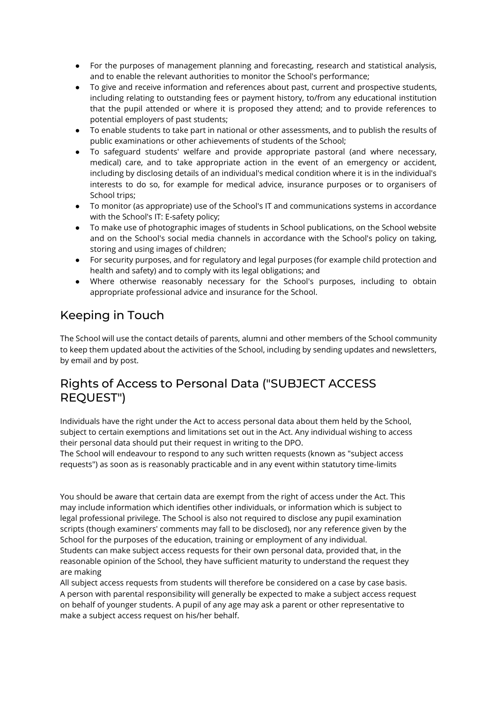- For the purposes of management planning and forecasting, research and statistical analysis, and to enable the relevant authorities to monitor the School's performance;
- To give and receive information and references about past, current and prospective students, including relating to outstanding fees or payment history, to/from any educational institution that the pupil attended or where it is proposed they attend; and to provide references to potential employers of past students;
- To enable students to take part in national or other assessments, and to publish the results of public examinations or other achievements of students of the School;
- To safeguard students' welfare and provide appropriate pastoral (and where necessary, medical) care, and to take appropriate action in the event of an emergency or accident, including by disclosing details of an individual's medical condition where it is in the individual's interests to do so, for example for medical advice, insurance purposes or to organisers of School trips;
- To monitor (as appropriate) use of the School's IT and communications systems in accordance with the School's IT: E-safety policy;
- To make use of photographic images of students in School publications, on the School website and on the School's social media channels in accordance with the School's policy on taking, storing and using images of children;
- For security purposes, and for regulatory and legal purposes (for example child protection and health and safety) and to comply with its legal obligations; and
- Where otherwise reasonably necessary for the School's purposes, including to obtain appropriate professional advice and insurance for the School.

### Keeping in Touch

The School will use the contact details of parents, alumni and other members of the School community to keep them updated about the activities of the School, including by sending updates and newsletters, by email and by post.

# Rights of Access to Personal Data ("SUBJECT ACCESS REQUEST")

Individuals have the right under the Act to access personal data about them held by the School, subject to certain exemptions and limitations set out in the Act. Any individual wishing to access their personal data should put their request in writing to the DPO.

The School will endeavour to respond to any such written requests (known as "subject access requests") as soon as is reasonably practicable and in any event within statutory time-limits

You should be aware that certain data are exempt from the right of access under the Act. This may include information which identifies other individuals, or information which is subject to legal professional privilege. The School is also not required to disclose any pupil examination scripts (though examiners' comments may fall to be disclosed), nor any reference given by the School for the purposes of the education, training or employment of any individual. Students can make subject access requests for their own personal data, provided that, in the reasonable opinion of the School, they have sufficient maturity to understand the request they are making

All subject access requests from students will therefore be considered on a case by case basis. A person with parental responsibility will generally be expected to make a subject access request on behalf of younger students. A pupil of any age may ask a parent or other representative to make a subject access request on his/her behalf.